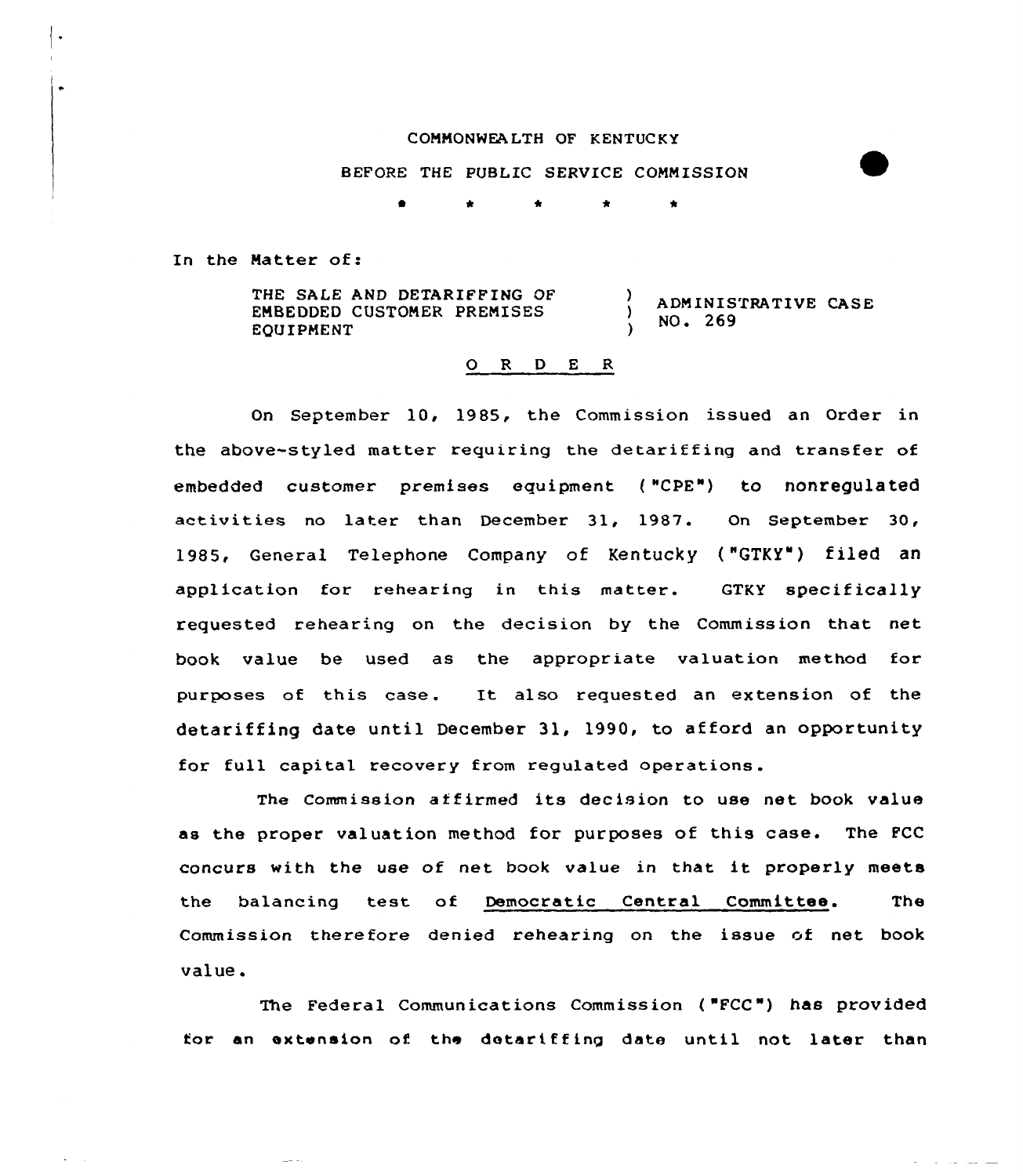## COMMONWEALTH OF KENTUCKY

BEFORE THE PUBLIC SERVICE COMMISSION

In the Matter of:

THE SALE AND DETARIFFING OF  $\mathbf{A}$ ADMINISTRATIVE CASE EMBEDDED CUSTOMER PREMISES  $\lambda$ NO. 269 EQUIPMENT

## 0 <sup>R</sup> <sup>D</sup> <sup>E</sup> <sup>R</sup>

On September 10, 1985, the Commission issued an Order in the above-styled matter requiring the detariffing and transfer of embedded customer premises equipment ( "CPE") to nonregulated activities no later than December 31, 1987. On September 30, 1985, General Telephone Company of Kentucky ("GTKY") filed an application for rehearing in this matter. GTKY specifically requested rehearing on the decision by the Commission that net book value be used as the appropriate valuation method for purposes of this case. It also requested an extension of the detariffing date until December 31, 1990, to afford an opportunity for full capital recovery from regulated operations.

The Commission affirmed its decision to use net book value as the proper valuation method for purposes of this case. The FCC concurs with the use of net book value in that it properly meets the balancing test of Democratic Central Committee. The Commission therefore denied rehearing on the issue of net book value.

The Federal Communications Commission ( "FCC") has provided for an extension of the detariffing date until not later than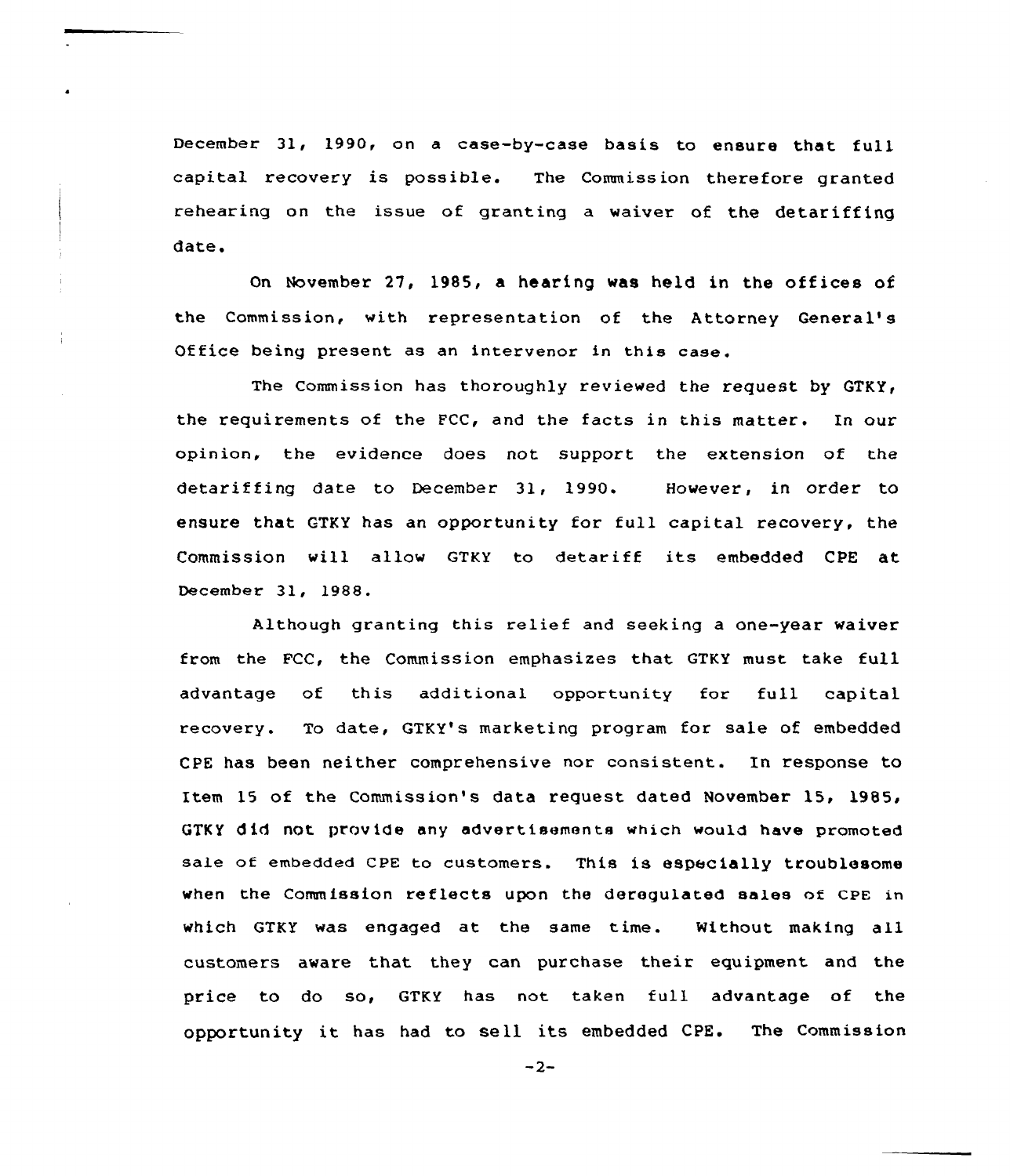December 31, 1990, on a case-by-case basis to ensure that full capital recovery is possible. The Commission therefore granted rehearing on the issue of granting a waiver of the detariffing date.

On November 27, 1985, a hearing was held in the offices of the Commission, with representation of the Attorney General' Office being present as an intervenor in this case.

The Commission has thoroughly reviewed the request by GTKY, the requirements of the FCC, and the facts in this matter. In our opinion, the evidence does not support the extension of the detariffing date to December 31, 1990. However, in order to ensure that GTKY has an opportunity for full capital recovery, the Commission will allow GTKY to detariff its embedded CPE at December 31, 1988.

Although granting this relief and seeking a one-year waiver from the FCC, the Commission emphasizes that GTKY must take full advantage of this additional opportunity for full capital recovery. To date, GTKY's marketing program for sale of embedded CPE has been neither comprehensive nor consistent. In response to Item 15 of the Commission's data request dated November 15, 1985, GTKY did not provide any advertisements which would have promoted sale of embedded CPE to customers. This is especially troublesome when the Commission reflects upon the derequlated sales of CPE in which GTKY was engaged at the same time. Without making all customers aware that they can purchase their equipment and the price to do so, GTKY has not taken full advantage of the opportunity it has had to sell its embedded CPE. The Commission

 $-2-$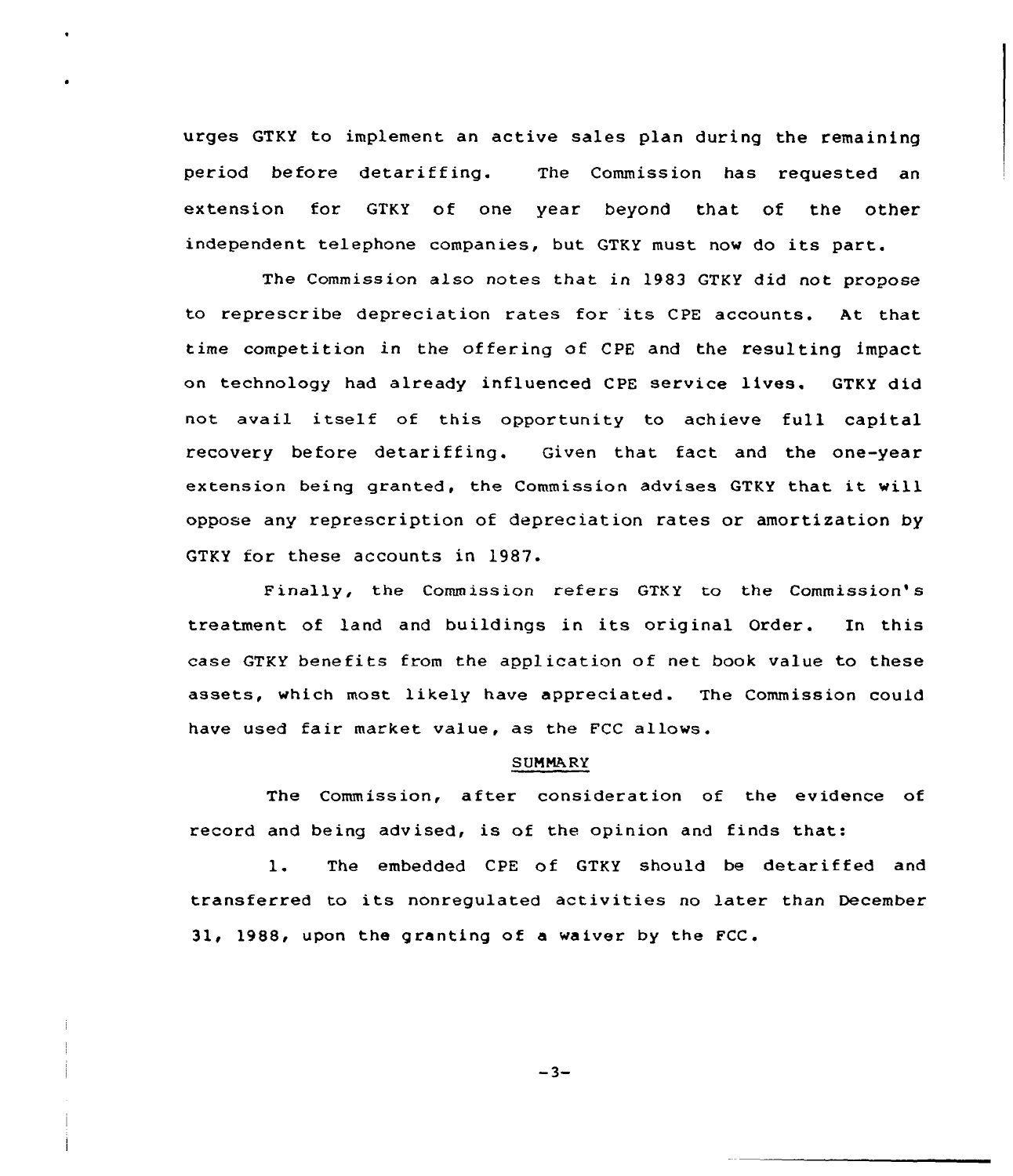urges GTKY to implement an active sales plan during the remaining period before detariffing. The Commission has requested an extension for GTKY of one year beyond that of the other independent telephone companies, but GTKY must now do its part.

The Commission also notes that in 1983 GTKY did not propose to represcribe depreciation rates for its CPE accounts. At that time competition in the of fering of CPE and the resulting impact on technology had already influenced CPE service lives. GTKY did not avail itself of this opportunity to achieve full capital recovery before detariffing. Given that fact and the one-year extension being granted, the Commission advises GTKY that it will oppose any represcription of depreciation rates or amortization by GTKY for these accounts in 1987.

Finally, the Commission refers GTKY to the Commission's treatment of land and buildings in its original Order. In this case GTKY benefits from the application of net book value to these assets, which most likely have appreciated. The Commission could have used fair market value, as the FCC allows.

## SUMMARY

The Commission, after consideration of the evidence of record and being advised, is of the opinion and finds that:

1. The embedded CPE of GTKY should be detariffed and transferred to its nonregulated activities no later than December 31, 1988, upon the granting of a waiver by the FCC.

 $-3-$